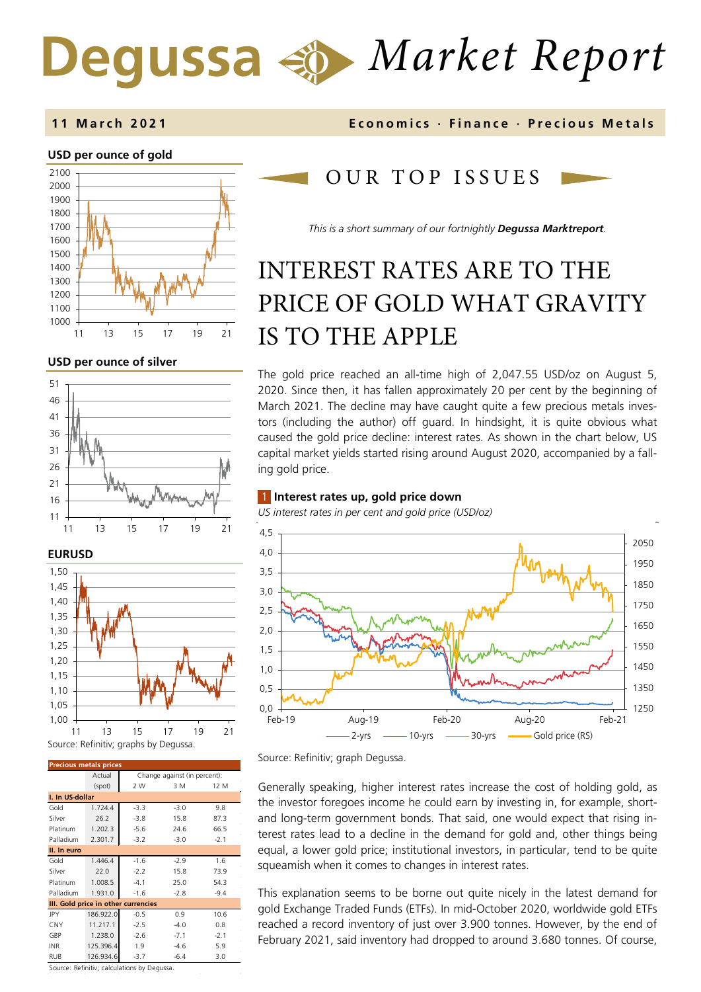# *Market Report*

## **USD per ounce of gold**



**USD per ounce of silver** 





| <b>Precious metals prices</b>       |           |                              |        |        |  |  |  |
|-------------------------------------|-----------|------------------------------|--------|--------|--|--|--|
|                                     | Actual    | Change against (in percent): |        |        |  |  |  |
|                                     | (spot)    | 2 W                          | 3 M    | 12 M   |  |  |  |
| I. In US-dollar                     |           |                              |        |        |  |  |  |
| Gold                                | 1.724.4   | $-3.3$                       | $-3.0$ | 9.8    |  |  |  |
| Silver                              | 26.2      | $-3.8$                       | 15.8   | 87.3   |  |  |  |
| Platinum                            | 1.202.3   | $-5.6$                       | 24.6   | 66.5   |  |  |  |
| Palladium                           | 2.301.7   | $-3.2$                       | $-3.0$ | $-2.1$ |  |  |  |
| II. In euro                         |           |                              |        |        |  |  |  |
| Gold                                | 1.446.4   | $-1.6$                       | $-2.9$ | 1.6    |  |  |  |
| Silver                              | 22.0      | $-2.2$                       | 15.8   | 73.9   |  |  |  |
| Platinum                            | 1.008.5   | $-4.1$                       | 25.0   | 54.3   |  |  |  |
| Palladium                           | 1.931.0   | $-1.6$                       | $-2.8$ | $-9.4$ |  |  |  |
| III. Gold price in other currencies |           |                              |        |        |  |  |  |
| JPY                                 | 186.922.0 | $-0.5$                       | 0.9    | 10.6   |  |  |  |
| <b>CNY</b>                          | 11.217.1  | $-2.5$                       | $-4.0$ | 0.8    |  |  |  |
| GBP                                 | 1.238.0   | $-2.6$                       | $-7.1$ | $-2.1$ |  |  |  |
| <b>INR</b>                          | 125.396.4 | 1.9                          | $-4.6$ | 5.9    |  |  |  |
| RUB                                 | 126.934.6 | $-3.7$                       | $-6.4$ | 3.0    |  |  |  |

Source: Refinitiv; calculations by Degussa.

## **11 March 202 1 Economics · Finance · Precious M etals**

## OUR TOP ISSUE S

*This is a short summary of our fortnightly Degussa Marktreport.*

## INTEREST RATES ARE TO THE PRICE OF GOLD WHAT GRAVITY IS TO THE APPLE

The gold price reached an all-time high of 2,047.55 USD/oz on August 5, 2020. Since then, it has fallen approximately 20 per cent by the beginning of March 2021. The decline may have caught quite a few precious metals investors (including the author) off guard. In hindsight, it is quite obvious what caused the gold price decline: interest rates. As shown in the chart below, US capital market yields started rising around August 2020, accompanied by a falling gold price.

## 1 **Interest rates up, gold price down**

*US interest rates in per cent and gold price (USD/oz)* 



Source: Refinitiv; graph Degussa.

Generally speaking, higher interest rates increase the cost of holding gold, as the investor foregoes income he could earn by investing in, for example, shortand long-term government bonds. That said, one would expect that rising interest rates lead to a decline in the demand for gold and, other things being equal, a lower gold price; institutional investors, in particular, tend to be quite squeamish when it comes to changes in interest rates.

This explanation seems to be borne out quite nicely in the latest demand for gold Exchange Traded Funds (ETFs). In mid-October 2020, worldwide gold ETFs reached a record inventory of just over 3.900 tonnes. However, by the end of February 2021, said inventory had dropped to around 3.680 tonnes. Of course,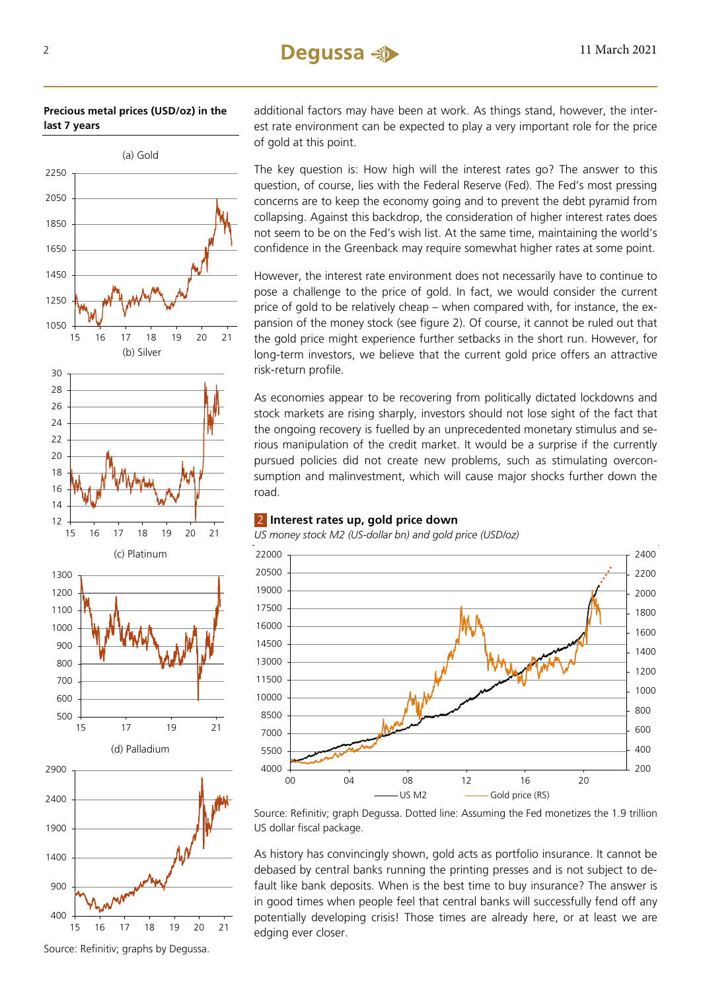

additional factors may have been at work. As things stand, however, the interest rate environment can be expected to play a very important role for the price of gold at this point.

The key question is: How high will the interest rates go? The answer to this question, of course, lies with the Federal Reserve (Fed). The Fed's most pressing concerns are to keep the economy going and to prevent the debt pyramid from collapsing. Against this backdrop, the consideration of higher interest rates does not seem to be on the Fed's wish list. At the same time, maintaining the world's confidence in the Greenback may require somewhat higher rates at some point.

However, the interest rate environment does not necessarily have to continue to pose a challenge to the price of gold. In fact, we would consider the current price of gold to be relatively cheap – when compared with, for instance, the expansion of the money stock (see figure 2). Of course, it cannot be ruled out that the gold price might experience further setbacks in the short run. However, for long-term investors, we believe that the current gold price offers an attractive risk-return profile.

As economies appear to be recovering from politically dictated lockdowns and stock markets are rising sharply, investors should not lose sight of the fact that the ongoing recovery is fuelled by an unprecedented monetary stimulus and serious manipulation of the credit market. It would be a surprise if the currently pursued policies did not create new problems, such as stimulating overconsumption and malinvestment, which will cause major shocks further down the road.

## **Interest rates up, gold price down**

*US money stock M2 (US-dollar bn) and gold price (USD/oz)* 



Source: Refinitiv; graph Degussa. Dotted line: Assuming the Fed monetizes the 1.9 trillion US dollar fiscal package.

As history has convincingly shown, gold acts as portfolio insurance. It cannot be debased by central banks running the printing presses and is not subject to default like bank deposits. When is the best time to buy insurance? The answer is in good times when people feel that central banks will successfully fend off any potentially developing crisis! Those times are already here, or at least we are edging ever closer.

Source: Refinitiv; graphs by Degussa.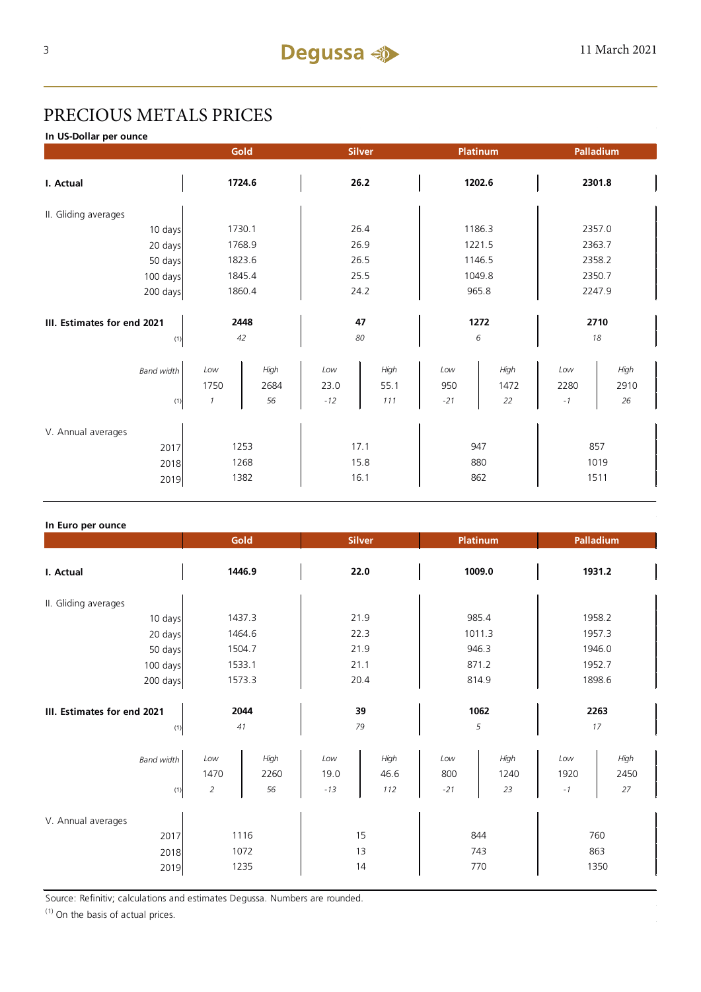## PRECIOUS METALS PRICES

**In US-Dollar per ounce**

|                                            |                              | Gold                 |                      | Platinum<br><b>Silver</b> |                     | Palladium          |                     |                     |  |
|--------------------------------------------|------------------------------|----------------------|----------------------|---------------------------|---------------------|--------------------|---------------------|---------------------|--|
| I. Actual                                  |                              | 1724.6               | 26.2                 |                           | 1202.6              |                    | 2301.8              |                     |  |
| II. Gliding averages                       |                              |                      |                      |                           |                     |                    |                     |                     |  |
| 10 days                                    |                              | 1730.1               |                      | 26.4                      | 1186.3              |                    |                     | 2357.0              |  |
| 20 days                                    |                              | 1768.9               |                      | 26.9                      | 1221.5              |                    |                     | 2363.7              |  |
| 50 days                                    |                              | 1823.6               |                      | 26.5                      | 1146.5              |                    |                     | 2358.2              |  |
| 100 days                                   |                              | 1845.4               |                      | 25.5                      |                     | 1049.8             |                     | 2350.7              |  |
| 200 days                                   |                              | 1860.4               |                      | 24.2                      |                     | 965.8              |                     | 2247.9              |  |
| III. Estimates for end 2021<br>(1)         |                              | 2448<br>42           |                      | 47<br>80                  | 6                   | 1272               |                     | 2710<br>18          |  |
| <b>Band width</b><br>(1)                   | Low<br>1750<br>$\mathcal{I}$ | High<br>2684<br>56   | Low<br>23.0<br>$-12$ | High<br>55.1<br>111       | Low<br>950<br>$-21$ | High<br>1472<br>22 | Low<br>2280<br>$-1$ | High<br>2910<br>26  |  |
| V. Annual averages<br>2017<br>2018<br>2019 |                              | 1253<br>1268<br>1382 |                      | 17.1<br>15.8<br>16.1      | 947<br>880<br>862   |                    |                     | 857<br>1019<br>1511 |  |

## **In Euro per ounce**

|                                            | Gold                                   | <b>Silver</b>                               | <b>Platinum</b>                           | Palladium                                 |  |
|--------------------------------------------|----------------------------------------|---------------------------------------------|-------------------------------------------|-------------------------------------------|--|
| I. Actual                                  | 1446.9                                 | 22.0                                        | 1009.0                                    | 1931.2                                    |  |
| II. Gliding averages                       |                                        |                                             |                                           |                                           |  |
| 10 days                                    | 1437.3                                 | 21.9                                        | 985.4                                     | 1958.2                                    |  |
| 20 days                                    | 1464.6                                 | 22.3                                        | 1011.3                                    | 1957.3                                    |  |
| 50 days                                    | 1504.7                                 | 21.9                                        | 946.3                                     | 1946.0                                    |  |
| 100 days                                   | 1533.1                                 | 21.1                                        | 871.2                                     | 1952.7                                    |  |
| 200 days                                   | 1573.3                                 | 20.4                                        | 814.9                                     | 1898.6                                    |  |
| III. Estimates for end 2021<br>(1)         | 2044<br>41                             | 39<br>79                                    | 1062<br>5                                 | 2263<br>17                                |  |
| <b>Band width</b><br>(1)                   | High<br>Low<br>1470<br>2260<br>56<br>2 | Low<br>High<br>19.0<br>46.6<br>$-13$<br>112 | High<br>Low<br>800<br>1240<br>$-21$<br>23 | High<br>Low<br>1920<br>2450<br>27<br>$-1$ |  |
| V. Annual averages<br>2017<br>2018<br>2019 | 1116<br>1072<br>1235                   | 15<br>13<br>14                              | 844<br>743<br>770                         | 760<br>863<br>1350                        |  |

Source: Refinitiv; calculations and estimates Degussa. Numbers are rounded.

 $(1)$  On the basis of actual prices.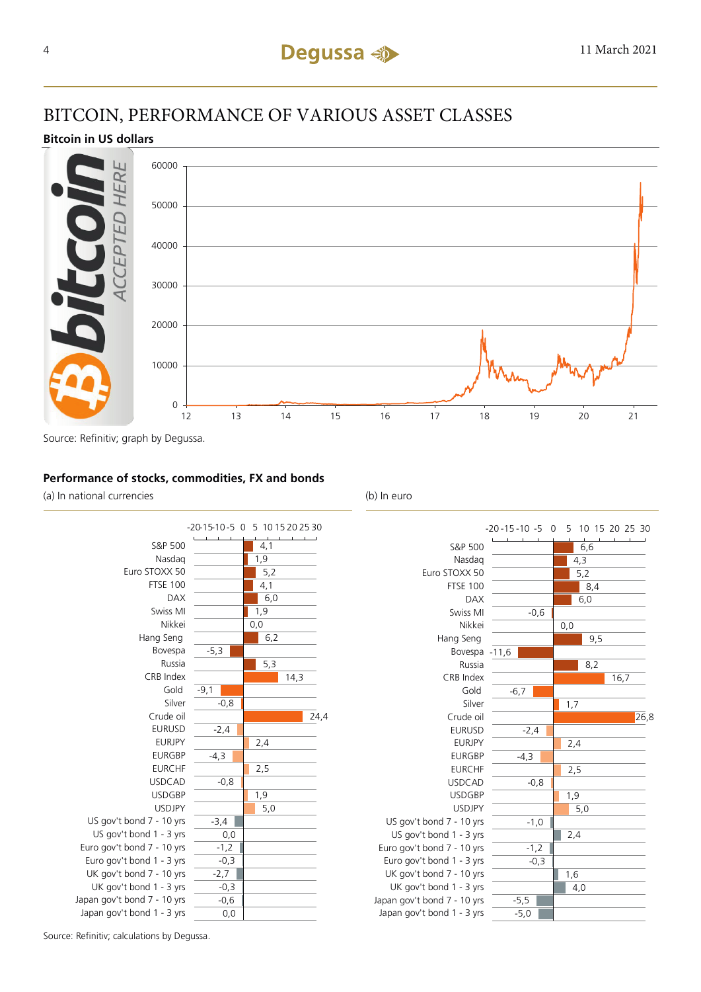## BITCOIN, PERFORMANCE OF VARIOUS ASSET CLASSES

## **Bitcoin in US dollars**



## **Performance of stocks, commodities, FX and bonds**

(a) In national currencies (b) In euro





Source: Refinitiv; calculations by Degussa.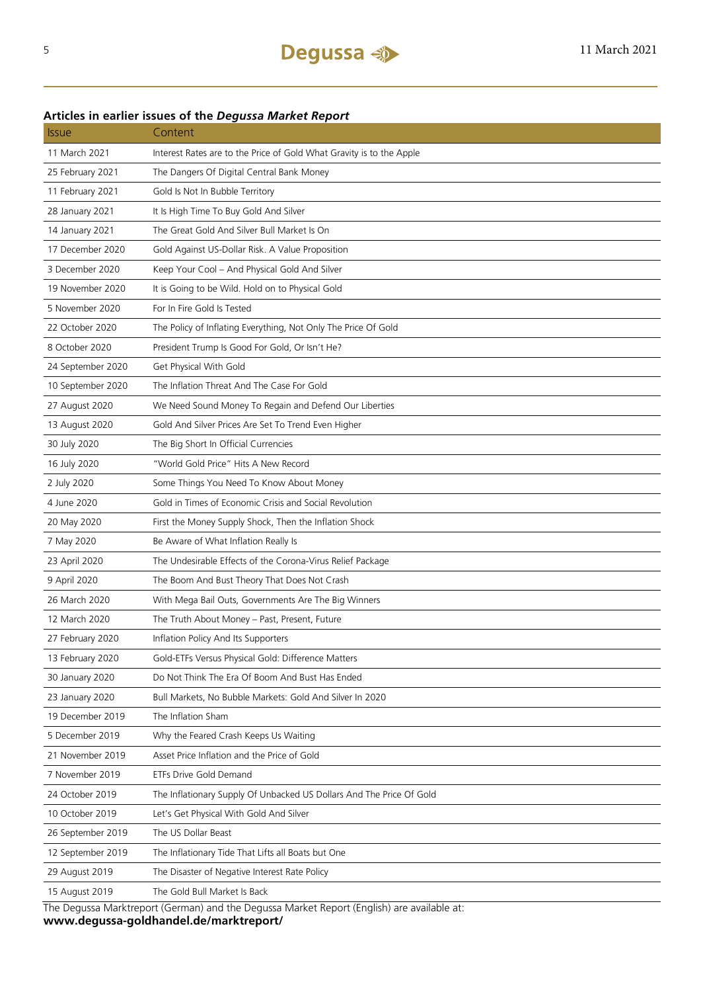## 11 March 2021 Interest Rates are to the Price of Gold What Gravity is to the Apple 25 February 2021 The Dangers Of Digital Central Bank Money 11 February 2021 Gold Is Not In Bubble Territory 28 January 2021 It Is High Time To Buy Gold And Silver 14 January 2021 The Great Gold And Silver Bull Market Is On 17 December 2020 Gold Against US-Dollar Risk. A Value Proposition 3 December 2020 Keep Your Cool – And Physical Gold And Silver 19 November 2020 It is Going to be Wild. Hold on to Physical Gold 5 November 2020 For In Fire Gold Is Tested 22 October 2020 The Policy of Inflating Everything, Not Only The Price Of Gold 8 October 2020 President Trump Is Good For Gold, Or Isn't He? 24 September 2020 Get Physical With Gold 10 September 2020 The Inflation Threat And The Case For Gold 27 August 2020 We Need Sound Money To Regain and Defend Our Liberties 13 August 2020 Gold And Silver Prices Are Set To Trend Even Higher 30 July 2020 The Big Short In Official Currencies 16 July 2020 "World Gold Price" Hits A New Record 2 July 2020 Some Things You Need To Know About Money 4 June 2020 Gold in Times of Economic Crisis and Social Revolution 20 May 2020 First the Money Supply Shock, Then the Inflation Shock 7 May 2020 Be Aware of What Inflation Really Is 23 April 2020 The Undesirable Effects of the Corona-Virus Relief Package 9 April 2020 The Boom And Bust Theory That Does Not Crash 26 March 2020 With Mega Bail Outs, Governments Are The Big Winners 12 March 2020 The Truth About Money – Past, Present, Future 27 February 2020 Inflation Policy And Its Supporters 13 February 2020 Gold-ETFs Versus Physical Gold: Difference Matters 30 January 2020 Do Not Think The Era Of Boom And Bust Has Ended 23 January 2020 Bull Markets, No Bubble Markets: Gold And Silver In 2020 19 December 2019 The Inflation Sham 5 December 2019 Why the Feared Crash Keeps Us Waiting 21 November 2019 Asset Price Inflation and the Price of Gold 7 November 2019 ETFs Drive Gold Demand 24 October 2019 The Inflationary Supply Of Unbacked US Dollars And The Price Of Gold 10 October 2019 Let's Get Physical With Gold And Silver 26 September 2019 The US Dollar Beast 12 September 2019 The Inflationary Tide That Lifts all Boats but One 29 August 2019 The Disaster of Negative Interest Rate Policy 15 August 2019 The Gold Bull Market Is Back

## **Articles in earlier issues of the** *Degussa Market Report*

Issue Content

The Degussa Marktreport (German) and the Degussa Market Report (English) are available at: **www.degussa-goldhandel.de/marktreport/**